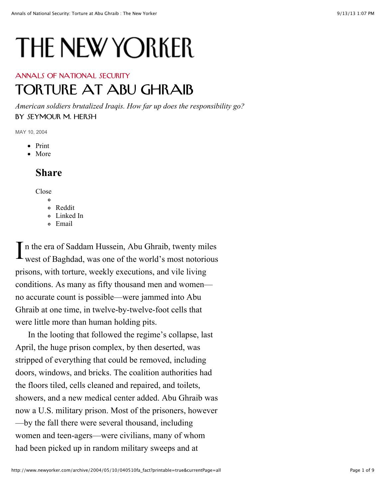## THE NEW YORKER

## ANNALS OF NATIONAL SECURITY TORTURE AT ABU GHRAIB

*American soldiers brutalized Iraqis. How far up does the responsibility go?* by [Seymour M. Hersh](http://www.newyorker.com/magazine/bios/seymour_m_hersh/search?contributorName=seymour%20m%20hersh)

MAY 10, 2004

- [Print](http://www.newyorker.com/archive/2004/05/10/040510fa_fact?printable=true¤tPage=all)
- More

## **Share**

Close

- 
- [Reddit](http://www.reddit.com/submit)
- [Linked In](http://www.linkedin.com/shareArticle?mini=true&url=%2Farchive%2F2004%2F05%2F10%2F040510fa_fact%3Fprintable%3Dtrue%26currentPage%3Dall&title=Annals%20of%20National%20Security:%20Torture%20at%20Abu%20Ghraib&summary=&source=The%20New%20Yorker)
- [Email](http://www.newyorker.com/contact/emailFriend?referringPage=http://www.newyorker.com%2Farchive%2F2004%2F05%2F10%2F040510fa_fact%3Fprintable%3Dtrue%26currentPage%3Dall)

In the era of Saddam Hussein, Abu Ghraib, twenty miles<br>west of Baghdad, was one of the world's most notorious west of Baghdad, was one of the world's most notorious prisons, with torture, weekly executions, and vile living conditions. As many as fifty thousand men and women no accurate count is possible—were jammed into Abu Ghraib at one time, in twelve-by-twelve-foot cells that were little more than human holding pits.

In the looting that followed the regime's collapse, last April, the huge prison complex, by then deserted, was stripped of everything that could be removed, including doors, windows, and bricks. The coalition authorities had the floors tiled, cells cleaned and repaired, and toilets, showers, and a new medical center added. Abu Ghraib was now a U.S. military prison. Most of the prisoners, however —by the fall there were several thousand, including women and teen-agers—were civilians, many of whom had been picked up in random military sweeps and at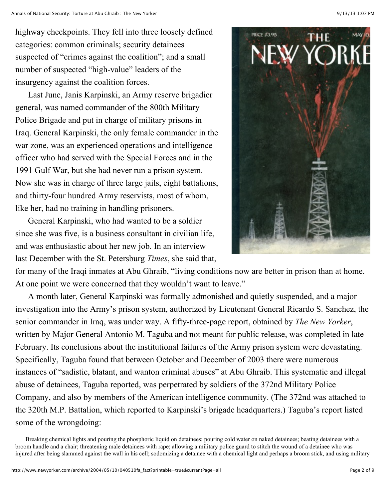highway checkpoints. They fell into three loosely defined categories: common criminals; security detainees suspected of "crimes against the coalition"; and a small number of suspected "high-value" leaders of the insurgency against the coalition forces.

Last June, Janis Karpinski, an Army reserve brigadier general, was named commander of the 800th Military Police Brigade and put in charge of military prisons in Iraq. General Karpinski, the only female commander in the war zone, was an experienced operations and intelligence officer who had served with the Special Forces and in the 1991 Gulf War, but she had never run a prison system. Now she was in charge of three large jails, eight battalions, and thirty-four hundred Army reservists, most of whom, like her, had no training in handling prisoners.

General Karpinski, who had wanted to be a soldier since she was five, is a business consultant in civilian life, and was enthusiastic about her new job. In an interview last December with the St. Petersburg *Times*, she said that,



for many of the Iraqi inmates at Abu Ghraib, "living conditions now are better in prison than at home. At one point we were concerned that they wouldn't want to leave."

A month later, General Karpinski was formally admonished and quietly suspended, and a major investigation into the Army's prison system, authorized by Lieutenant General Ricardo S. Sanchez, the senior commander in Iraq, was under way. A fifty-three-page report, obtained by *The New Yorker*, written by Major General Antonio M. Taguba and not meant for public release, was completed in late February. Its conclusions about the institutional failures of the Army prison system were devastating. Specifically, Taguba found that between October and December of 2003 there were numerous instances of "sadistic, blatant, and wanton criminal abuses" at Abu Ghraib. This systematic and illegal abuse of detainees, Taguba reported, was perpetrated by soldiers of the 372nd Military Police Company, and also by members of the American intelligence community. (The 372nd was attached to the 320th M.P. Battalion, which reported to Karpinski's brigade headquarters.) Taguba's report listed some of the wrongdoing:

Breaking chemical lights and pouring the phosphoric liquid on detainees; pouring cold water on naked detainees; beating detainees with a broom handle and a chair; threatening male detainees with rape; allowing a military police guard to stitch the wound of a detainee who was injured after being slammed against the wall in his cell; sodomizing a detainee with a chemical light and perhaps a broom stick, and using military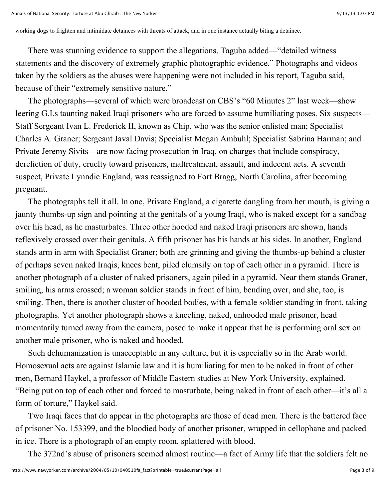working dogs to frighten and intimidate detainees with threats of attack, and in one instance actually biting a detainee.

There was stunning evidence to support the allegations, Taguba added—"detailed witness statements and the discovery of extremely graphic photographic evidence." Photographs and videos taken by the soldiers as the abuses were happening were not included in his report, Taguba said, because of their "extremely sensitive nature."

The photographs—several of which were broadcast on CBS's "60 Minutes 2" last week—show leering G.I.s taunting naked Iraqi prisoners who are forced to assume humiliating poses. Six suspects— Staff Sergeant Ivan L. Frederick II, known as Chip, who was the senior enlisted man; Specialist Charles A. Graner; Sergeant Javal Davis; Specialist Megan Ambuhl; Specialist Sabrina Harman; and Private Jeremy Sivits—are now facing prosecution in Iraq, on charges that include conspiracy, dereliction of duty, cruelty toward prisoners, maltreatment, assault, and indecent acts. A seventh suspect, Private Lynndie England, was reassigned to Fort Bragg, North Carolina, after becoming pregnant.

The photographs tell it all. In one, Private England, a cigarette dangling from her mouth, is giving a jaunty thumbs-up sign and pointing at the genitals of a young Iraqi, who is naked except for a sandbag over his head, as he masturbates. Three other hooded and naked Iraqi prisoners are shown, hands reflexively crossed over their genitals. A fifth prisoner has his hands at his sides. In another, England stands arm in arm with Specialist Graner; both are grinning and giving the thumbs-up behind a cluster of perhaps seven naked Iraqis, knees bent, piled clumsily on top of each other in a pyramid. There is another photograph of a cluster of naked prisoners, again piled in a pyramid. Near them stands Graner, smiling, his arms crossed; a woman soldier stands in front of him, bending over, and she, too, is smiling. Then, there is another cluster of hooded bodies, with a female soldier standing in front, taking photographs. Yet another photograph shows a kneeling, naked, unhooded male prisoner, head momentarily turned away from the camera, posed to make it appear that he is performing oral sex on another male prisoner, who is naked and hooded.

Such dehumanization is unacceptable in any culture, but it is especially so in the Arab world. Homosexual acts are against Islamic law and it is humiliating for men to be naked in front of other men, Bernard Haykel, a professor of Middle Eastern studies at New York University, explained. "Being put on top of each other and forced to masturbate, being naked in front of each other—it's all a form of torture," Haykel said.

Two Iraqi faces that do appear in the photographs are those of dead men. There is the battered face of prisoner No. 153399, and the bloodied body of another prisoner, wrapped in cellophane and packed in ice. There is a photograph of an empty room, splattered with blood.

The 372nd's abuse of prisoners seemed almost routine—a fact of Army life that the soldiers felt no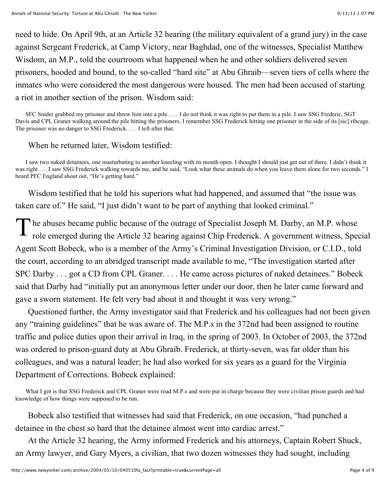need to hide. On April 9th, at an Article 32 hearing (the military equivalent of a grand jury) in the case against Sergeant Frederick, at Camp Victory, near Baghdad, one of the witnesses, Specialist Matthew Wisdom, an M.P., told the courtroom what happened when he and other soldiers delivered seven prisoners, hooded and bound, to the so-called "hard site" at Abu Ghraib—seven tiers of cells where the inmates who were considered the most dangerous were housed. The men had been accused of starting a riot in another section of the prison. Wisdom said:

SFC Snider grabbed my prisoner and threw him into a pile. . . . I do not think it was right to put them in a pile. I saw SSG Frederic, SGT Davis and CPL Graner walking around the pile hitting the prisoners. I remember SSG Frederick hitting one prisoner in the side of its [sic] ribcage. The prisoner was no danger to SSG Frederick. . . . I left after that.

When he returned later, Wisdom testified:

I saw two naked detainees, one masturbating to another kneeling with its mouth open. I thought I should just get out of there. I didn't think it was right . . . I saw SSG Frederick walking towards me, and he said, "Look what these animals do when you leave them alone for two seconds." I heard PFC England shout out, "He's getting hard."

Wisdom testified that he told his superiors what had happened, and assumed that "the issue was taken care of." He said, "I just didn't want to be part of anything that looked criminal."

The abuses became public because of the outrage of Specialist Joseph M. Darby, an M.P. whose role emerged during the Article 32 hearing against Chip Frederick. A government witness, Spe role emerged during the Article 32 hearing against Chip Frederick. A government witness, Special Agent Scott Bobeck, who is a member of the Army's Criminal Investigation Division, or C.I.D., told the court, according to an abridged transcript made available to me, "The investigation started after SPC Darby . . . got a CD from CPL Graner. . . . He came across pictures of naked detainees." Bobeck said that Darby had "initially put an anonymous letter under our door, then he later came forward and gave a sworn statement. He felt very bad about it and thought it was very wrong."

Questioned further, the Army investigator said that Frederick and his colleagues had not been given any "training guidelines" that he was aware of. The M.P.s in the 372nd had been assigned to routine traffic and police duties upon their arrival in Iraq, in the spring of 2003. In October of 2003, the 372nd was ordered to prison-guard duty at Abu Ghraib. Frederick, at thirty-seven, was far older than his colleagues, and was a natural leader; he had also worked for six years as a guard for the Virginia Department of Corrections. Bobeck explained:

What I got is that SSG Frederick and CPL Graner were road M.P.s and were put in charge because they were civilian prison guards and had knowledge of how things were supposed to be run.

Bobeck also testified that witnesses had said that Frederick, on one occasion, "had punched a detainee in the chest so hard that the detainee almost went into cardiac arrest."

At the Article 32 hearing, the Army informed Frederick and his attorneys, Captain Robert Shuck, an Army lawyer, and Gary Myers, a civilian, that two dozen witnesses they had sought, including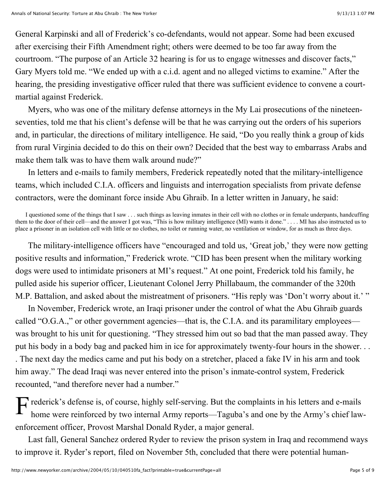General Karpinski and all of Frederick's co-defendants, would not appear. Some had been excused after exercising their Fifth Amendment right; others were deemed to be too far away from the courtroom. "The purpose of an Article 32 hearing is for us to engage witnesses and discover facts," Gary Myers told me. "We ended up with a c.i.d. agent and no alleged victims to examine." After the hearing, the presiding investigative officer ruled that there was sufficient evidence to convene a courtmartial against Frederick.

Myers, who was one of the military defense attorneys in the My Lai prosecutions of the nineteenseventies, told me that his client's defense will be that he was carrying out the orders of his superiors and, in particular, the directions of military intelligence. He said, "Do you really think a group of kids from rural Virginia decided to do this on their own? Decided that the best way to embarrass Arabs and make them talk was to have them walk around nude?"

In letters and e-mails to family members, Frederick repeatedly noted that the military-intelligence teams, which included C.I.A. officers and linguists and interrogation specialists from private defense contractors, were the dominant force inside Abu Ghraib. In a letter written in January, he said:

I questioned some of the things that I saw . . . such things as leaving inmates in their cell with no clothes or in female underpants, handcuffing them to the door of their cell—and the answer I got was, "This is how military intelligence (MI) wants it done." . . . . MI has also instructed us to place a prisoner in an isolation cell with little or no clothes, no toilet or running water, no ventilation or window, for as much as three days.

The military-intelligence officers have "encouraged and told us, 'Great job,' they were now getting positive results and information," Frederick wrote. "CID has been present when the military working dogs were used to intimidate prisoners at MI's request." At one point, Frederick told his family, he pulled aside his superior officer, Lieutenant Colonel Jerry Phillabaum, the commander of the 320th M.P. Battalion, and asked about the mistreatment of prisoners. "His reply was 'Don't worry about it.' "

In November, Frederick wrote, an Iraqi prisoner under the control of what the Abu Ghraib guards called "O.G.A.," or other government agencies—that is, the C.I.A. and its paramilitary employees was brought to his unit for questioning. "They stressed him out so bad that the man passed away. They put his body in a body bag and packed him in ice for approximately twenty-four hours in the shower. . . . The next day the medics came and put his body on a stretcher, placed a fake IV in his arm and took him away." The dead Iraqi was never entered into the prison's inmate-control system, Frederick recounted, "and therefore never had a number."

F rederick's defense is, of course, highly self-serving. But the complaints in his letters and e-mails home were reinforced by two internal Army reports—Taguba's and one by the Army's chief lawenforcement officer, Provost Marshal Donald Ryder, a major general.

Last fall, General Sanchez ordered Ryder to review the prison system in Iraq and recommend ways to improve it. Ryder's report, filed on November 5th, concluded that there were potential human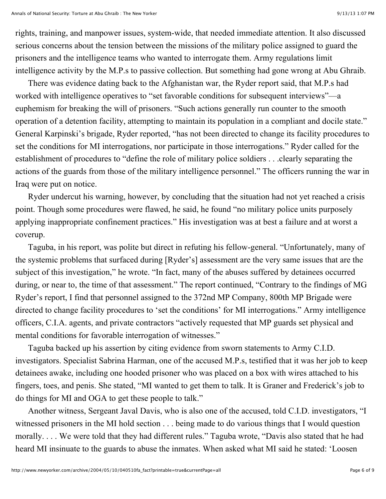rights, training, and manpower issues, system-wide, that needed immediate attention. It also discussed serious concerns about the tension between the missions of the military police assigned to guard the prisoners and the intelligence teams who wanted to interrogate them. Army regulations limit intelligence activity by the M.P.s to passive collection. But something had gone wrong at Abu Ghraib.

There was evidence dating back to the Afghanistan war, the Ryder report said, that M.P.s had worked with intelligence operatives to "set favorable conditions for subsequent interviews"—a euphemism for breaking the will of prisoners. "Such actions generally run counter to the smooth operation of a detention facility, attempting to maintain its population in a compliant and docile state." General Karpinski's brigade, Ryder reported, "has not been directed to change its facility procedures to set the conditions for MI interrogations, nor participate in those interrogations." Ryder called for the establishment of procedures to "define the role of military police soldiers . . .clearly separating the actions of the guards from those of the military intelligence personnel." The officers running the war in Iraq were put on notice.

Ryder undercut his warning, however, by concluding that the situation had not yet reached a crisis point. Though some procedures were flawed, he said, he found "no military police units purposely applying inappropriate confinement practices." His investigation was at best a failure and at worst a coverup.

Taguba, in his report, was polite but direct in refuting his fellow-general. "Unfortunately, many of the systemic problems that surfaced during [Ryder's] assessment are the very same issues that are the subject of this investigation," he wrote. "In fact, many of the abuses suffered by detainees occurred during, or near to, the time of that assessment." The report continued, "Contrary to the findings of MG Ryder's report, I find that personnel assigned to the 372nd MP Company, 800th MP Brigade were directed to change facility procedures to 'set the conditions' for MI interrogations." Army intelligence officers, C.I.A. agents, and private contractors "actively requested that MP guards set physical and mental conditions for favorable interrogation of witnesses."

Taguba backed up his assertion by citing evidence from sworn statements to Army C.I.D. investigators. Specialist Sabrina Harman, one of the accused M.P.s, testified that it was her job to keep detainees awake, including one hooded prisoner who was placed on a box with wires attached to his fingers, toes, and penis. She stated, "MI wanted to get them to talk. It is Graner and Frederick's job to do things for MI and OGA to get these people to talk."

Another witness, Sergeant Javal Davis, who is also one of the accused, told C.I.D. investigators, "I witnessed prisoners in the MI hold section . . . being made to do various things that I would question morally. . . . We were told that they had different rules." Taguba wrote, "Davis also stated that he had heard MI insinuate to the guards to abuse the inmates. When asked what MI said he stated: 'Loosen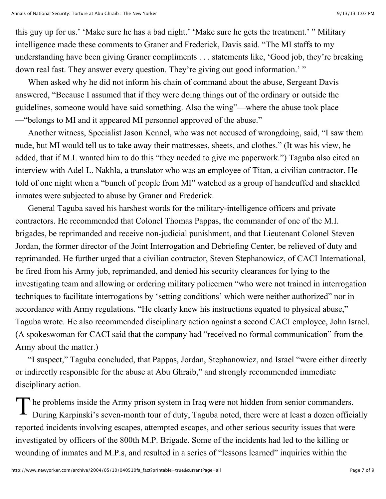this guy up for us.' 'Make sure he has a bad night.' 'Make sure he gets the treatment.' " Military intelligence made these comments to Graner and Frederick, Davis said. "The MI staffs to my understanding have been giving Graner compliments . . . statements like, 'Good job, they're breaking down real fast. They answer every question. They're giving out good information.' "

When asked why he did not inform his chain of command about the abuse, Sergeant Davis answered, "Because I assumed that if they were doing things out of the ordinary or outside the guidelines, someone would have said something. Also the wing"—where the abuse took place —"belongs to MI and it appeared MI personnel approved of the abuse."

Another witness, Specialist Jason Kennel, who was not accused of wrongdoing, said, "I saw them nude, but MI would tell us to take away their mattresses, sheets, and clothes." (It was his view, he added, that if M.I. wanted him to do this "they needed to give me paperwork.") Taguba also cited an interview with Adel L. Nakhla, a translator who was an employee of Titan, a civilian contractor. He told of one night when a "bunch of people from MI" watched as a group of handcuffed and shackled inmates were subjected to abuse by Graner and Frederick.

General Taguba saved his harshest words for the military-intelligence officers and private contractors. He recommended that Colonel Thomas Pappas, the commander of one of the M.I. brigades, be reprimanded and receive non-judicial punishment, and that Lieutenant Colonel Steven Jordan, the former director of the Joint Interrogation and Debriefing Center, be relieved of duty and reprimanded. He further urged that a civilian contractor, Steven Stephanowicz, of CACI International, be fired from his Army job, reprimanded, and denied his security clearances for lying to the investigating team and allowing or ordering military policemen "who were not trained in interrogation techniques to facilitate interrogations by 'setting conditions' which were neither authorized" nor in accordance with Army regulations. "He clearly knew his instructions equated to physical abuse," Taguba wrote. He also recommended disciplinary action against a second CACI employee, John Israel. (A spokeswoman for CACI said that the company had "received no formal communication" from the Army about the matter.)

"I suspect," Taguba concluded, that Pappas, Jordan, Stephanowicz, and Israel "were either directly or indirectly responsible for the abuse at Abu Ghraib," and strongly recommended immediate disciplinary action.

The problems inside the Army prison system in Iraq were not hidden from senior commanders.<br>During Karpinski's seven-month tour of duty, Taguba noted, there were at least a dozen offici During Karpinski's seven-month tour of duty, Taguba noted, there were at least a dozen officially reported incidents involving escapes, attempted escapes, and other serious security issues that were investigated by officers of the 800th M.P. Brigade. Some of the incidents had led to the killing or wounding of inmates and M.P.s, and resulted in a series of "lessons learned" inquiries within the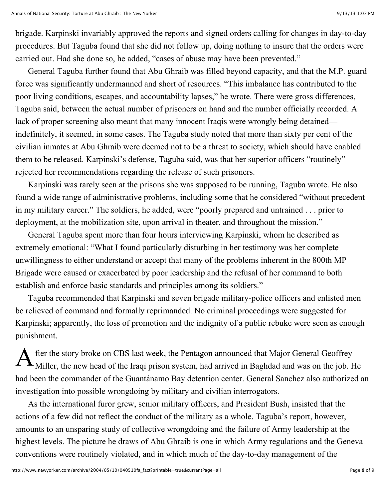brigade. Karpinski invariably approved the reports and signed orders calling for changes in day-to-day procedures. But Taguba found that she did not follow up, doing nothing to insure that the orders were carried out. Had she done so, he added, "cases of abuse may have been prevented."

General Taguba further found that Abu Ghraib was filled beyond capacity, and that the M.P. guard force was significantly undermanned and short of resources. "This imbalance has contributed to the poor living conditions, escapes, and accountability lapses," he wrote. There were gross differences, Taguba said, between the actual number of prisoners on hand and the number officially recorded. A lack of proper screening also meant that many innocent Iraqis were wrongly being detained indefinitely, it seemed, in some cases. The Taguba study noted that more than sixty per cent of the civilian inmates at Abu Ghraib were deemed not to be a threat to society, which should have enabled them to be released. Karpinski's defense, Taguba said, was that her superior officers "routinely" rejected her recommendations regarding the release of such prisoners.

Karpinski was rarely seen at the prisons she was supposed to be running, Taguba wrote. He also found a wide range of administrative problems, including some that he considered "without precedent in my military career." The soldiers, he added, were "poorly prepared and untrained . . . prior to deployment, at the mobilization site, upon arrival in theater, and throughout the mission."

General Taguba spent more than four hours interviewing Karpinski, whom he described as extremely emotional: "What I found particularly disturbing in her testimony was her complete unwillingness to either understand or accept that many of the problems inherent in the 800th MP Brigade were caused or exacerbated by poor leadership and the refusal of her command to both establish and enforce basic standards and principles among its soldiers."

Taguba recommended that Karpinski and seven brigade military-police officers and enlisted men be relieved of command and formally reprimanded. No criminal proceedings were suggested for Karpinski; apparently, the loss of promotion and the indignity of a public rebuke were seen as enough punishment.

A fter the story broke on CBS last week, the Pentagon announced that Major General Geoffrey Miller, the new head of the Iraqi prison system, had arrived in Baghdad and was on the job. He had been the commander of the Guantánamo Bay detention center. General Sanchez also authorized an investigation into possible wrongdoing by military and civilian interrogators.

As the international furor grew, senior military officers, and President Bush, insisted that the actions of a few did not reflect the conduct of the military as a whole. Taguba's report, however, amounts to an unsparing study of collective wrongdoing and the failure of Army leadership at the highest levels. The picture he draws of Abu Ghraib is one in which Army regulations and the Geneva conventions were routinely violated, and in which much of the day-to-day management of the